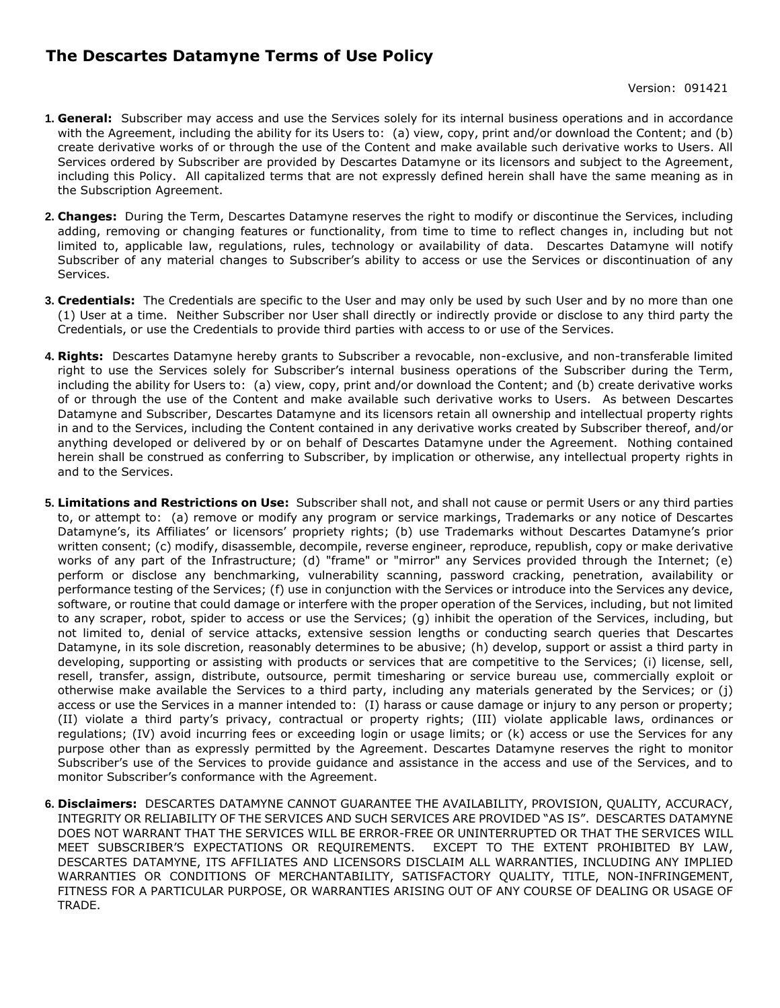## **The Descartes Datamyne Terms of Use Policy**

- **1. General:** Subscriber may access and use the Services solely for its internal business operations and in accordance with the Agreement, including the ability for its Users to: (a) view, copy, print and/or download the Content; and (b) create derivative works of or through the use of the Content and make available such derivative works to Users. All Services ordered by Subscriber are provided by Descartes Datamyne or its licensors and subject to the Agreement, including this Policy. All capitalized terms that are not expressly defined herein shall have the same meaning as in the Subscription Agreement.
- **2. Changes:** During the Term, Descartes Datamyne reserves the right to modify or discontinue the Services, including adding, removing or changing features or functionality, from time to time to reflect changes in, including but not limited to, applicable law, regulations, rules, technology or availability of data. Descartes Datamyne will notify Subscriber of any material changes to Subscriber's ability to access or use the Services or discontinuation of any Services.
- **3. Credentials:** The Credentials are specific to the User and may only be used by such User and by no more than one (1) User at a time. Neither Subscriber nor User shall directly or indirectly provide or disclose to any third party the Credentials, or use the Credentials to provide third parties with access to or use of the Services.
- **4. Rights:** Descartes Datamyne hereby grants to Subscriber a revocable, non-exclusive, and non-transferable limited right to use the Services solely for Subscriber's internal business operations of the Subscriber during the Term, including the ability for Users to: (a) view, copy, print and/or download the Content; and (b) create derivative works of or through the use of the Content and make available such derivative works to Users. As between Descartes Datamyne and Subscriber, Descartes Datamyne and its licensors retain all ownership and intellectual property rights in and to the Services, including the Content contained in any derivative works created by Subscriber thereof, and/or anything developed or delivered by or on behalf of Descartes Datamyne under the Agreement. Nothing contained herein shall be construed as conferring to Subscriber, by implication or otherwise, any intellectual property rights in and to the Services.
- **5. Limitations and Restrictions on Use:** Subscriber shall not, and shall not cause or permit Users or any third parties to, or attempt to: (a) remove or modify any program or service markings, Trademarks or any notice of Descartes Datamyne's, its Affiliates' or licensors' propriety rights; (b) use Trademarks without Descartes Datamyne's prior written consent; (c) modify, disassemble, decompile, reverse engineer, reproduce, republish, copy or make derivative works of any part of the Infrastructure; (d) "frame" or "mirror" any Services provided through the Internet; (e) perform or disclose any benchmarking, vulnerability scanning, password cracking, penetration, availability or performance testing of the Services; (f) use in conjunction with the Services or introduce into the Services any device, software, or routine that could damage or interfere with the proper operation of the Services, including, but not limited to any scraper, robot, spider to access or use the Services; (g) inhibit the operation of the Services, including, but not limited to, denial of service attacks, extensive session lengths or conducting search queries that Descartes Datamyne, in its sole discretion, reasonably determines to be abusive; (h) develop, support or assist a third party in developing, supporting or assisting with products or services that are competitive to the Services; (i) license, sell, resell, transfer, assign, distribute, outsource, permit timesharing or service bureau use, commercially exploit or otherwise make available the Services to a third party, including any materials generated by the Services; or (j) access or use the Services in a manner intended to: (I) harass or cause damage or injury to any person or property; (II) violate a third party's privacy, contractual or property rights; (III) violate applicable laws, ordinances or regulations; (IV) avoid incurring fees or exceeding login or usage limits; or (k) access or use the Services for any purpose other than as expressly permitted by the Agreement. Descartes Datamyne reserves the right to monitor Subscriber's use of the Services to provide guidance and assistance in the access and use of the Services, and to monitor Subscriber's conformance with the Agreement.
- **6. Disclaimers:** DESCARTES DATAMYNE CANNOT GUARANTEE THE AVAILABILITY, PROVISION, QUALITY, ACCURACY, INTEGRITY OR RELIABILITY OF THE SERVICES AND SUCH SERVICES ARE PROVIDED "AS IS". DESCARTES DATAMYNE DOES NOT WARRANT THAT THE SERVICES WILL BE ERROR-FREE OR UNINTERRUPTED OR THAT THE SERVICES WILL MEET SUBSCRIBER'S EXPECTATIONS OR REQUIREMENTS. EXCEPT TO THE EXTENT PROHIBITED BY LAW, DESCARTES DATAMYNE, ITS AFFILIATES AND LICENSORS DISCLAIM ALL WARRANTIES, INCLUDING ANY IMPLIED WARRANTIES OR CONDITIONS OF MERCHANTABILITY, SATISFACTORY QUALITY, TITLE, NON-INFRINGEMENT, FITNESS FOR A PARTICULAR PURPOSE, OR WARRANTIES ARISING OUT OF ANY COURSE OF DEALING OR USAGE OF TRADE.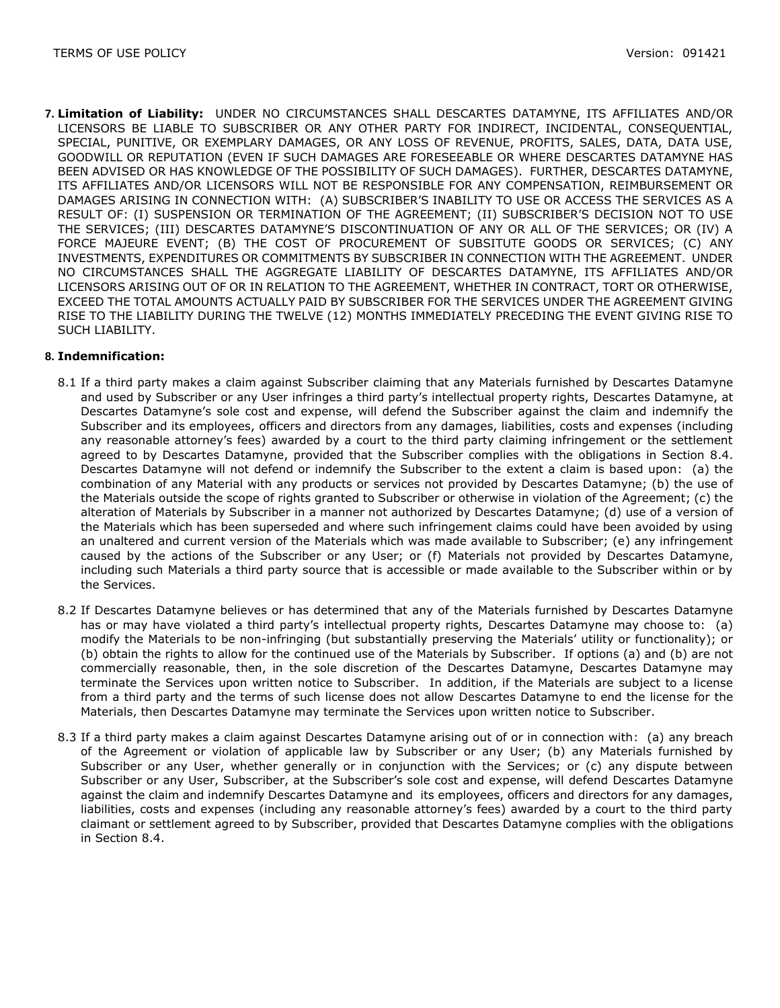**7. Limitation of Liability:** UNDER NO CIRCUMSTANCES SHALL DESCARTES DATAMYNE, ITS AFFILIATES AND/OR LICENSORS BE LIABLE TO SUBSCRIBER OR ANY OTHER PARTY FOR INDIRECT, INCIDENTAL, CONSEQUENTIAL, SPECIAL, PUNITIVE, OR EXEMPLARY DAMAGES, OR ANY LOSS OF REVENUE, PROFITS, SALES, DATA, DATA USE, GOODWILL OR REPUTATION (EVEN IF SUCH DAMAGES ARE FORESEEABLE OR WHERE DESCARTES DATAMYNE HAS BEEN ADVISED OR HAS KNOWLEDGE OF THE POSSIBILITY OF SUCH DAMAGES). FURTHER, DESCARTES DATAMYNE, ITS AFFILIATES AND/OR LICENSORS WILL NOT BE RESPONSIBLE FOR ANY COMPENSATION, REIMBURSEMENT OR DAMAGES ARISING IN CONNECTION WITH: (A) SUBSCRIBER'S INABILITY TO USE OR ACCESS THE SERVICES AS A RESULT OF: (I) SUSPENSION OR TERMINATION OF THE AGREEMENT; (II) SUBSCRIBER'S DECISION NOT TO USE THE SERVICES; (III) DESCARTES DATAMYNE'S DISCONTINUATION OF ANY OR ALL OF THE SERVICES; OR (IV) A FORCE MAJEURE EVENT; (B) THE COST OF PROCUREMENT OF SUBSITUTE GOODS OR SERVICES; (C) ANY INVESTMENTS, EXPENDITURES OR COMMITMENTS BY SUBSCRIBER IN CONNECTION WITH THE AGREEMENT. UNDER NO CIRCUMSTANCES SHALL THE AGGREGATE LIABILITY OF DESCARTES DATAMYNE, ITS AFFILIATES AND/OR LICENSORS ARISING OUT OF OR IN RELATION TO THE AGREEMENT, WHETHER IN CONTRACT, TORT OR OTHERWISE, EXCEED THE TOTAL AMOUNTS ACTUALLY PAID BY SUBSCRIBER FOR THE SERVICES UNDER THE AGREEMENT GIVING RISE TO THE LIABILITY DURING THE TWELVE (12) MONTHS IMMEDIATELY PRECEDING THE EVENT GIVING RISE TO SUCH LIABILITY.

## **8. Indemnification:**

- 8.1 If a third party makes a claim against Subscriber claiming that any Materials furnished by Descartes Datamyne and used by Subscriber or any User infringes a third party's intellectual property rights, Descartes Datamyne, at Descartes Datamyne's sole cost and expense, will defend the Subscriber against the claim and indemnify the Subscriber and its employees, officers and directors from any damages, liabilities, costs and expenses (including any reasonable attorney's fees) awarded by a court to the third party claiming infringement or the settlement agreed to by Descartes Datamyne, provided that the Subscriber complies with the obligations in Section 8.4. Descartes Datamyne will not defend or indemnify the Subscriber to the extent a claim is based upon: (a) the combination of any Material with any products or services not provided by Descartes Datamyne; (b) the use of the Materials outside the scope of rights granted to Subscriber or otherwise in violation of the Agreement; (c) the alteration of Materials by Subscriber in a manner not authorized by Descartes Datamyne; (d) use of a version of the Materials which has been superseded and where such infringement claims could have been avoided by using an unaltered and current version of the Materials which was made available to Subscriber; (e) any infringement caused by the actions of the Subscriber or any User; or (f) Materials not provided by Descartes Datamyne, including such Materials a third party source that is accessible or made available to the Subscriber within or by the Services.
- 8.2 If Descartes Datamyne believes or has determined that any of the Materials furnished by Descartes Datamyne has or may have violated a third party's intellectual property rights, Descartes Datamyne may choose to: (a) modify the Materials to be non-infringing (but substantially preserving the Materials' utility or functionality); or (b) obtain the rights to allow for the continued use of the Materials by Subscriber. If options (a) and (b) are not commercially reasonable, then, in the sole discretion of the Descartes Datamyne, Descartes Datamyne may terminate the Services upon written notice to Subscriber. In addition, if the Materials are subject to a license from a third party and the terms of such license does not allow Descartes Datamyne to end the license for the Materials, then Descartes Datamyne may terminate the Services upon written notice to Subscriber.
- 8.3 If a third party makes a claim against Descartes Datamyne arising out of or in connection with: (a) any breach of the Agreement or violation of applicable law by Subscriber or any User; (b) any Materials furnished by Subscriber or any User, whether generally or in conjunction with the Services; or (c) any dispute between Subscriber or any User, Subscriber, at the Subscriber's sole cost and expense, will defend Descartes Datamyne against the claim and indemnify Descartes Datamyne and its employees, officers and directors for any damages, liabilities, costs and expenses (including any reasonable attorney's fees) awarded by a court to the third party claimant or settlement agreed to by Subscriber, provided that Descartes Datamyne complies with the obligations in Section 8.4.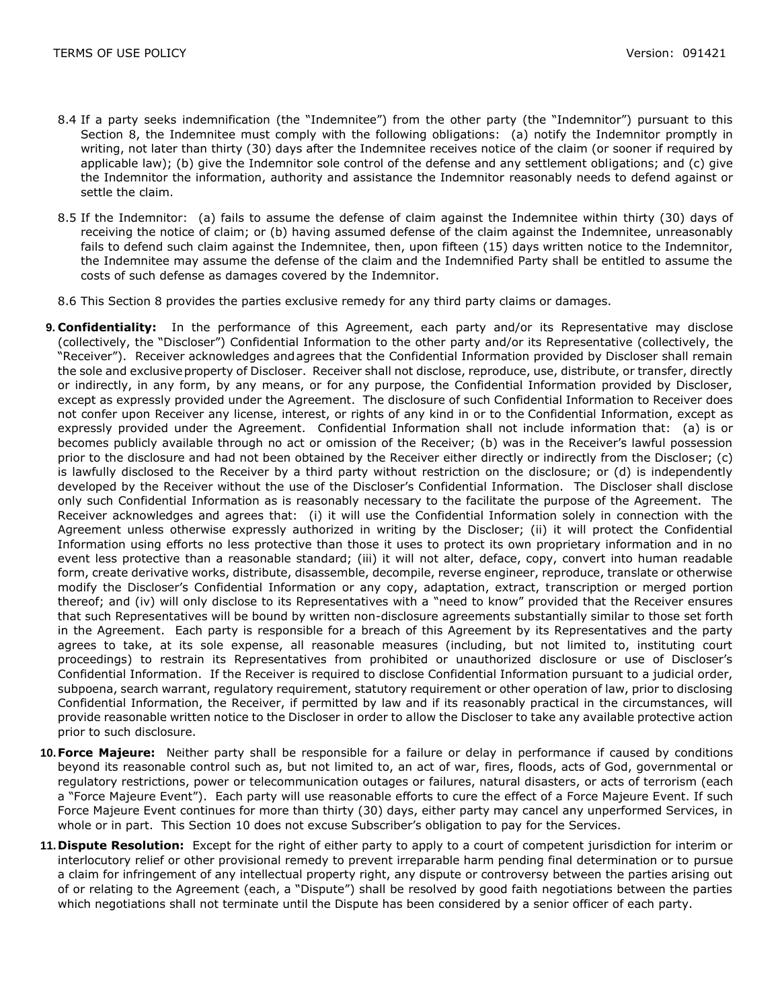- 8.4 If a party seeks indemnification (the "Indemnitee") from the other party (the "Indemnitor") pursuant to this Section 8, the Indemnitee must comply with the following obligations: (a) notify the Indemnitor promptly in writing, not later than thirty (30) days after the Indemnitee receives notice of the claim (or sooner if required by applicable law); (b) give the Indemnitor sole control of the defense and any settlement obligations; and (c) give the Indemnitor the information, authority and assistance the Indemnitor reasonably needs to defend against or settle the claim.
- 8.5 If the Indemnitor: (a) fails to assume the defense of claim against the Indemnitee within thirty (30) days of receiving the notice of claim; or (b) having assumed defense of the claim against the Indemnitee, unreasonably fails to defend such claim against the Indemnitee, then, upon fifteen (15) days written notice to the Indemnitor, the Indemnitee may assume the defense of the claim and the Indemnified Party shall be entitled to assume the costs of such defense as damages covered by the Indemnitor.
- 8.6 This Section 8 provides the parties exclusive remedy for any third party claims or damages.
- **9. Confidentiality:** In the performance of this Agreement, each party and/or its Representative may disclose (collectively, the "Discloser") Confidential Information to the other party and/or its Representative (collectively, the "Receiver"). Receiver acknowledges andagrees that the Confidential Information provided by Discloser shall remain the sole and exclusiveproperty of Discloser. Receiver shall not disclose, reproduce, use, distribute, or transfer, directly or indirectly, in any form, by any means, or for any purpose, the Confidential Information provided by Discloser, except as expressly provided under the Agreement. The disclosure of such Confidential Information to Receiver does not confer upon Receiver any license, interest, or rights of any kind in or to the Confidential Information, except as expressly provided under the Agreement. Confidential Information shall not include information that: (a) is or becomes publicly available through no act or omission of the Receiver; (b) was in the Receiver's lawful possession prior to the disclosure and had not been obtained by the Receiver either directly or indirectly from the Discloser; (c) is lawfully disclosed to the Receiver by a third party without restriction on the disclosure; or (d) is independently developed by the Receiver without the use of the Discloser's Confidential Information. The Discloser shall disclose only such Confidential Information as is reasonably necessary to the facilitate the purpose of the Agreement. The Receiver acknowledges and agrees that: (i) it will use the Confidential Information solely in connection with the Agreement unless otherwise expressly authorized in writing by the Discloser; (ii) it will protect the Confidential Information using efforts no less protective than those it uses to protect its own proprietary information and in no event less protective than a reasonable standard; (iii) it will not alter, deface, copy, convert into human readable form, create derivative works, distribute, disassemble, decompile, reverse engineer, reproduce, translate or otherwise modify the Discloser's Confidential Information or any copy, adaptation, extract, transcription or merged portion thereof; and (iv) will only disclose to its Representatives with a "need to know" provided that the Receiver ensures that such Representatives will be bound by written non-disclosure agreements substantially similar to those set forth in the Agreement. Each party is responsible for a breach of this Agreement by its Representatives and the party agrees to take, at its sole expense, all reasonable measures (including, but not limited to, instituting court proceedings) to restrain its Representatives from prohibited or unauthorized disclosure or use of Discloser's Confidential Information. If the Receiver is required to disclose Confidential Information pursuant to a judicial order, subpoena, search warrant, regulatory requirement, statutory requirement or other operation of law, prior to disclosing Confidential Information, the Receiver, if permitted by law and if its reasonably practical in the circumstances, will provide reasonable written notice to the Discloser in order to allow the Discloser to take any available protective action prior to such disclosure.
- **10.Force Majeure:** Neither party shall be responsible for a failure or delay in performance if caused by conditions beyond its reasonable control such as, but not limited to, an act of war, fires, floods, acts of God, governmental or regulatory restrictions, power or telecommunication outages or failures, natural disasters, or acts of terrorism (each a "Force Majeure Event"). Each party will use reasonable efforts to cure the effect of a Force Majeure Event. If such Force Majeure Event continues for more than thirty (30) days, either party may cancel any unperformed Services, in whole or in part. This Section 10 does not excuse Subscriber's obligation to pay for the Services.
- **11.Dispute Resolution:** Except for the right of either party to apply to a court of competent jurisdiction for interim or interlocutory relief or other provisional remedy to prevent irreparable harm pending final determination or to pursue a claim for infringement of any intellectual property right, any dispute or controversy between the parties arising out of or relating to the Agreement (each, a "Dispute") shall be resolved by good faith negotiations between the parties which negotiations shall not terminate until the Dispute has been considered by a senior officer of each party.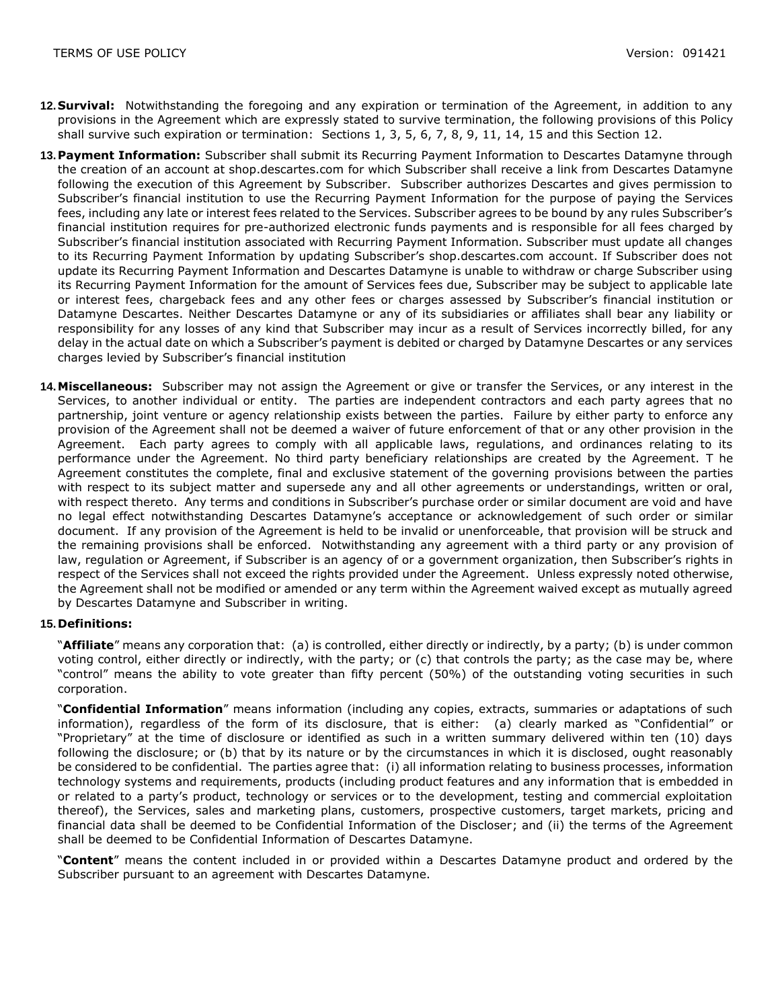- **12.Survival:** Notwithstanding the foregoing and any expiration or termination of the Agreement, in addition to any provisions in the Agreement which are expressly stated to survive termination, the following provisions of this Policy shall survive such expiration or termination: Sections 1, 3, 5, 6, 7, 8, 9, 11, 14, 15 and this Section 12.
- **13.Payment Information:** Subscriber shall submit its Recurring Payment Information to Descartes Datamyne through the creation of an account at shop.descartes.com for which Subscriber shall receive a link from Descartes Datamyne following the execution of this Agreement by Subscriber. Subscriber authorizes Descartes and gives permission to Subscriber's financial institution to use the Recurring Payment Information for the purpose of paying the Services fees, including any late or interest fees related to the Services. Subscriber agrees to be bound by any rules Subscriber's financial institution requires for pre-authorized electronic funds payments and is responsible for all fees charged by Subscriber's financial institution associated with Recurring Payment Information. Subscriber must update all changes to its Recurring Payment Information by updating Subscriber's shop.descartes.com account. If Subscriber does not update its Recurring Payment Information and Descartes Datamyne is unable to withdraw or charge Subscriber using its Recurring Payment Information for the amount of Services fees due, Subscriber may be subject to applicable late or interest fees, chargeback fees and any other fees or charges assessed by Subscriber's financial institution or Datamyne Descartes. Neither Descartes Datamyne or any of its subsidiaries or affiliates shall bear any liability or responsibility for any losses of any kind that Subscriber may incur as a result of Services incorrectly billed, for any delay in the actual date on which a Subscriber's payment is debited or charged by Datamyne Descartes or any services charges levied by Subscriber's financial institution
- **14.Miscellaneous:** Subscriber may not assign the Agreement or give or transfer the Services, or any interest in the Services, to another individual or entity. The parties are independent contractors and each party agrees that no partnership, joint venture or agency relationship exists between the parties. Failure by either party to enforce any provision of the Agreement shall not be deemed a waiver of future enforcement of that or any other provision in the Agreement. Each party agrees to comply with all applicable laws, regulations, and ordinances relating to its performance under the Agreement. No third party beneficiary relationships are created by the Agreement. T he Agreement constitutes the complete, final and exclusive statement of the governing provisions between the parties with respect to its subject matter and supersede any and all other agreements or understandings, written or oral, with respect thereto. Any terms and conditions in Subscriber's purchase order or similar document are void and have no legal effect notwithstanding Descartes Datamyne's acceptance or acknowledgement of such order or similar document. If any provision of the Agreement is held to be invalid or unenforceable, that provision will be struck and the remaining provisions shall be enforced. Notwithstanding any agreement with a third party or any provision of law, regulation or Agreement, if Subscriber is an agency of or a government organization, then Subscriber's rights in respect of the Services shall not exceed the rights provided under the Agreement. Unless expressly noted otherwise, the Agreement shall not be modified or amended or any term within the Agreement waived except as mutually agreed by Descartes Datamyne and Subscriber in writing.

## **15.Definitions:**

"**Affiliate**" means any corporation that: (a) is controlled, either directly or indirectly, by a party; (b) is under common voting control, either directly or indirectly, with the party; or (c) that controls the party; as the case may be, where "control" means the ability to vote greater than fifty percent (50%) of the outstanding voting securities in such corporation.

"**Confidential Information**" means information (including any copies, extracts, summaries or adaptations of such information), regardless of the form of its disclosure, that is either: (a) clearly marked as "Confidential" or "Proprietary" at the time of disclosure or identified as such in a written summary delivered within ten (10) days following the disclosure; or (b) that by its nature or by the circumstances in which it is disclosed, ought reasonably be considered to be confidential. The parties agree that: (i) all information relating to business processes, information technology systems and requirements, products (including product features and any information that is embedded in or related to a party's product, technology or services or to the development, testing and commercial exploitation thereof), the Services, sales and marketing plans, customers, prospective customers, target markets, pricing and financial data shall be deemed to be Confidential Information of the Discloser; and (ii) the terms of the Agreement shall be deemed to be Confidential Information of Descartes Datamyne.

"**Content**" means the content included in or provided within a Descartes Datamyne product and ordered by the Subscriber pursuant to an agreement with Descartes Datamyne.